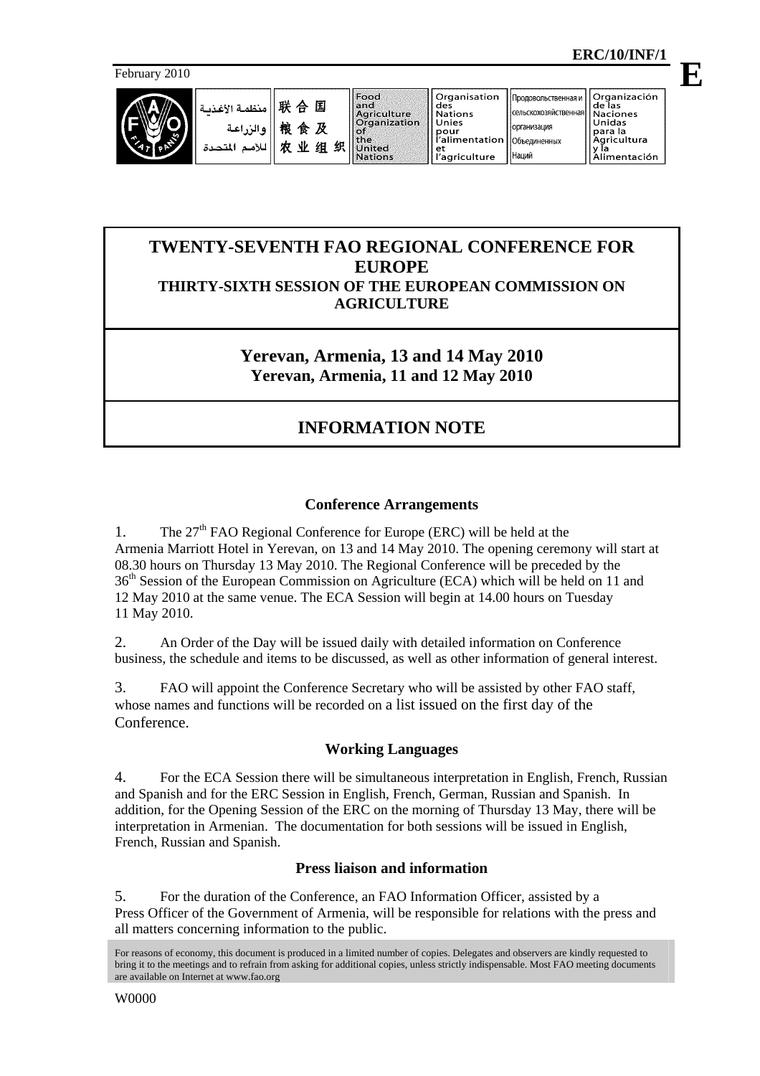**E**

February 2010



囿

及

and<br>Agriculture<br>Organization io. the<br>United 组织 **Nations** 

**организация** 

Наций

Объединенных

# **TWENTY-SEVENTH FAO REGIONAL CONFERENCE FOR EUROPE THIRTY-SIXTH SESSION OF THE EUROPEAN COMMISSION ON AGRICULTURE**

**Yerevan, Armenia, 13 and 14 May 2010 Yerevan, Armenia, 11 and 12 May 2010**

# **INFORMATION NOTE**

# **Conference Arrangements**

1. The  $27<sup>th</sup>$  FAO Regional Conference for Europe (ERC) will be held at the Armenia Marriott Hotel in Yerevan, on 13 and 14 May 2010. The opening ceremony will start at 08.30 hours on Thursday 13 May 2010. The Regional Conference will be preceded by the 36th Session of the European Commission on Agriculture (ECA) which will be held on 11 and 12 May 2010 at the same venue. The ECA Session will begin at 14.00 hours on Tuesday 11 May 2010.

2. An Order of the Day will be issued daily with detailed information on Conference business, the schedule and items to be discussed, as well as other information of general interest.

3. FAO will appoint the Conference Secretary who will be assisted by other FAO staff, whose names and functions will be recorded on a list issued on the first day of the Conference.

# **Working Languages**

4. For the ECA Session there will be simultaneous interpretation in English, French, Russian and Spanish and for the ERC Session in English, French, German, Russian and Spanish. In addition, for the Opening Session of the ERC on the morning of Thursday 13 May, there will be interpretation in Armenian. The documentation for both sessions will be issued in English, French, Russian and Spanish.

# **Press liaison and information**

5. For the duration of the Conference, an FAO Information Officer, assisted by a Press Officer of the Government of Armenia, will be responsible for relations with the press and all matters concerning information to the public.

For reasons of economy, this document is produced in a limited number of copies. Delegates and observers are kindly requested to bring it to the meetings and to refrain from asking for additional copies, unless strictly indispensable. Most FAO meeting documents are available on Internet at www.fao.org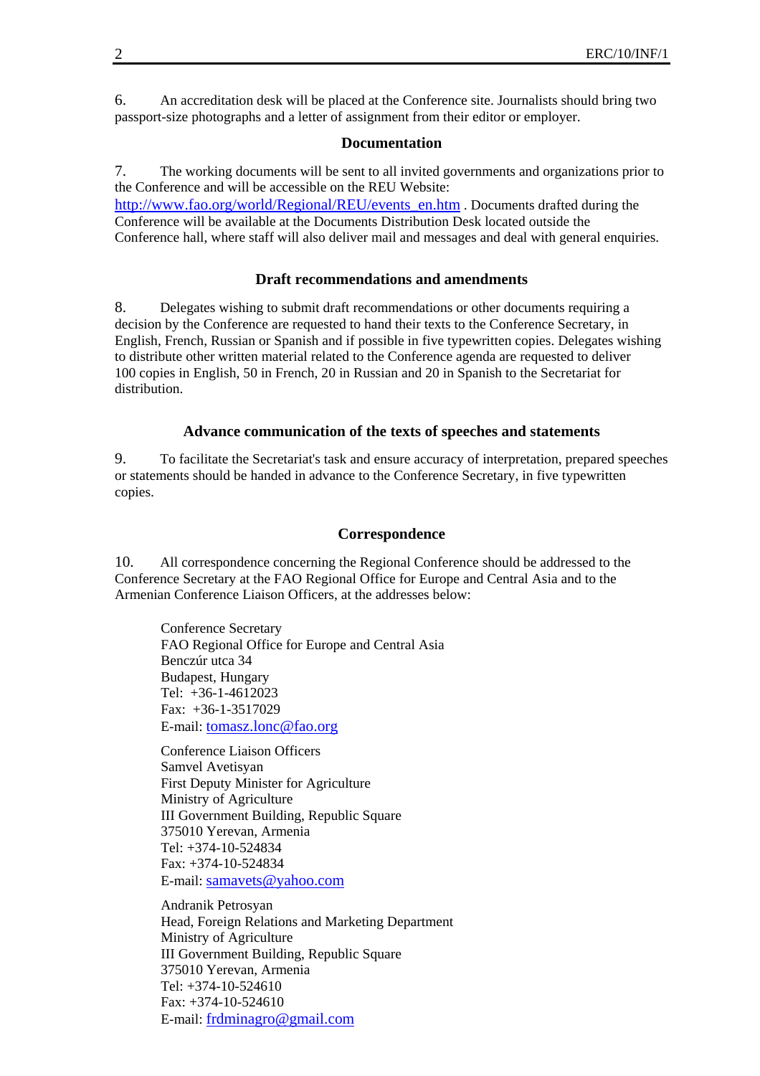6. An accreditation desk will be placed at the Conference site. Journalists should bring two passport-size photographs and a letter of assignment from their editor or employer.

#### **Documentation**

7. The working documents will be sent to all invited governments and organizations prior to the Conference and will be accessible on the REU Website: http://www.fao.org/world/Regional/REU/events\_en.htm . Documents drafted during the Conference will be available at the Documents Distribution Desk located outside the Conference hall, where staff will also deliver mail and messages and deal with general enquiries.

#### **Draft recommendations and amendments**

8. Delegates wishing to submit draft recommendations or other documents requiring a decision by the Conference are requested to hand their texts to the Conference Secretary, in English, French, Russian or Spanish and if possible in five typewritten copies. Delegates wishing to distribute other written material related to the Conference agenda are requested to deliver 100 copies in English, 50 in French, 20 in Russian and 20 in Spanish to the Secretariat for distribution.

#### **Advance communication of the texts of speeches and statements**

9. To facilitate the Secretariat's task and ensure accuracy of interpretation, prepared speeches or statements should be handed in advance to the Conference Secretary, in five typewritten copies.

#### **Correspondence**

10. All correspondence concerning the Regional Conference should be addressed to the Conference Secretary at the FAO Regional Office for Europe and Central Asia and to the Armenian Conference Liaison Officers, at the addresses below:

 Conference Secretary FAO Regional Office for Europe and Central Asia Benczúr utca 34 Budapest, Hungary Tel: +36-1-4612023 Fax: +36-1-3517029 E-mail: tomasz.lonc@fao.org

Conference Liaison Officers Samvel Avetisyan First Deputy Minister for Agriculture Ministry of Agriculture III Government Building, Republic Square 375010 Yerevan, Armenia Tel: +374-10-524834 Fax: +374-10-524834 E-mail: samavets@yahoo.com

Andranik Petrosyan Head, Foreign Relations and Marketing Department Ministry of Agriculture III Government Building, Republic Square 375010 Yerevan, Armenia Tel: +374-10-524610  $Fax: +374-10-524610$ E-mail: frdminagro@gmail.com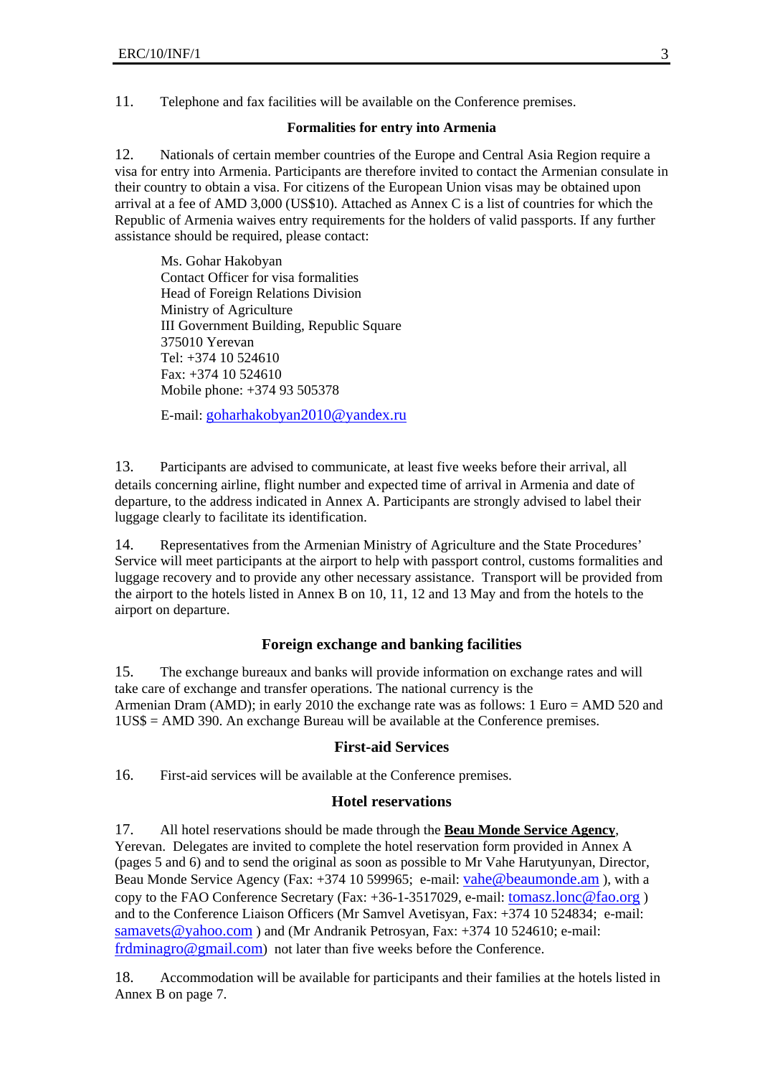11. Telephone and fax facilities will be available on the Conference premises.

#### **Formalities for entry into Armenia**

12. Nationals of certain member countries of the Europe and Central Asia Region require a visa for entry into Armenia. Participants are therefore invited to contact the Armenian consulate in their country to obtain a visa. For citizens of the European Union visas may be obtained upon arrival at a fee of AMD 3,000 (US\$10). Attached as Annex C is a list of countries for which the Republic of Armenia waives entry requirements for the holders of valid passports. If any further assistance should be required, please contact:

 Ms. Gohar Hakobyan Contact Officer for visa formalities Head of Foreign Relations Division Ministry of Agriculture III Government Building, Republic Square 375010 Yerevan Tel: +374 10 524610 Fax: +374 10 524610 Mobile phone: +374 93 505378

E-mail: goharhakobyan2010@yandex.ru

13. Participants are advised to communicate, at least five weeks before their arrival, all details concerning airline, flight number and expected time of arrival in Armenia and date of departure, to the address indicated in Annex A. Participants are strongly advised to label their luggage clearly to facilitate its identification.

14. Representatives from the Armenian Ministry of Agriculture and the State Procedures' Service will meet participants at the airport to help with passport control, customs formalities and luggage recovery and to provide any other necessary assistance. Transport will be provided from the airport to the hotels listed in Annex B on 10, 11, 12 and 13 May and from the hotels to the airport on departure.

# **Foreign exchange and banking facilities**

15. The exchange bureaux and banks will provide information on exchange rates and will take care of exchange and transfer operations. The national currency is the Armenian Dram (AMD); in early 2010 the exchange rate was as follows: 1 Euro = AMD 520 and 1US\$ = AMD 390. An exchange Bureau will be available at the Conference premises.

# **First-aid Services**

16. First-aid services will be available at the Conference premises.

#### **Hotel reservations**

17. All hotel reservations should be made through the **Beau Monde Service Agency**, Yerevan. Delegates are invited to complete the hotel reservation form provided in Annex A (pages 5 and 6) and to send the original as soon as possible to Mr Vahe Harutyunyan, Director, Beau Monde Service Agency (Fax: +374 10 599965; e-mail: vahe@beaumonde.am ), with a copy to the FAO Conference Secretary (Fax: +36-1-3517029, e-mail: tomasz.lonc@fao.org ) and to the Conference Liaison Officers (Mr Samvel Avetisyan, Fax: +374 10 524834; e-mail: samavets@yahoo.com ) and (Mr Andranik Petrosyan, Fax: +374 10 524610; e-mail: frdminagro@gmail.com) not later than five weeks before the Conference.

18. Accommodation will be available for participants and their families at the hotels listed in Annex B on page 7.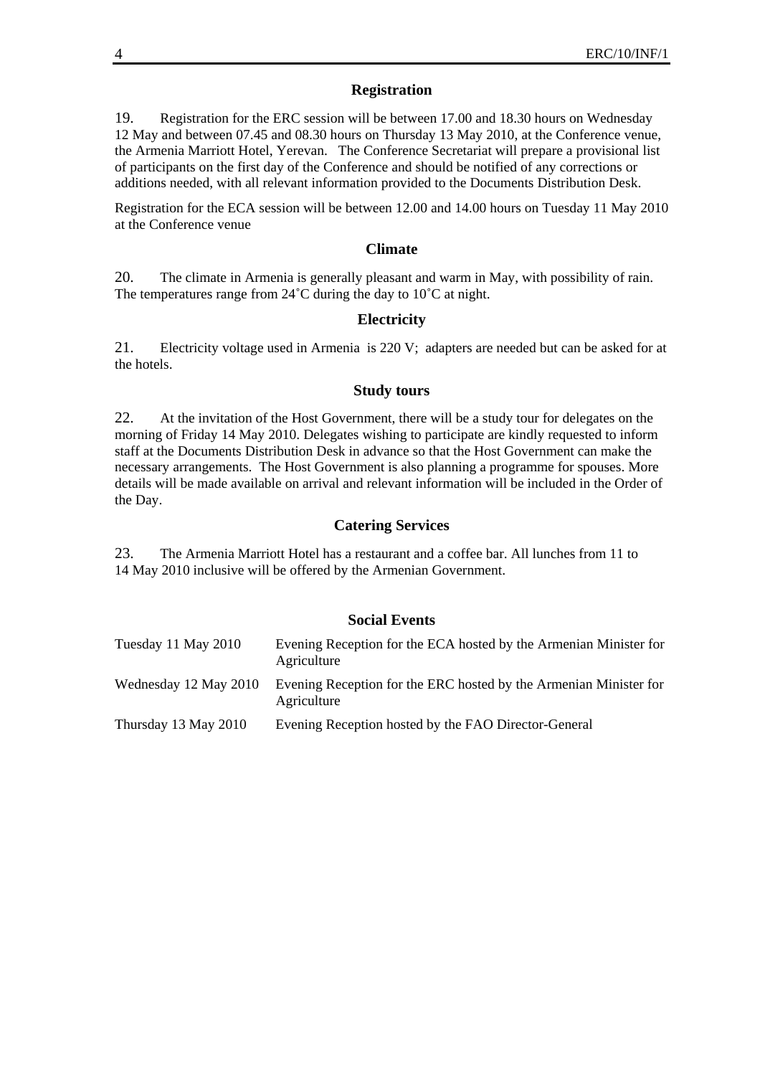## **Registration**

19. Registration for the ERC session will be between 17.00 and 18.30 hours on Wednesday 12 May and between 07.45 and 08.30 hours on Thursday 13 May 2010, at the Conference venue, the Armenia Marriott Hotel, Yerevan. The Conference Secretariat will prepare a provisional list of participants on the first day of the Conference and should be notified of any corrections or additions needed, with all relevant information provided to the Documents Distribution Desk.

Registration for the ECA session will be between 12.00 and 14.00 hours on Tuesday 11 May 2010 at the Conference venue

#### **Climate**

20. The climate in Armenia is generally pleasant and warm in May, with possibility of rain. The temperatures range from 24<sup>°</sup>C during the day to 10<sup>°</sup>C at night.

# **Electricity**

21. Electricity voltage used in Armenia is 220 V; adapters are needed but can be asked for at the hotels.

#### **Study tours**

22. At the invitation of the Host Government, there will be a study tour for delegates on the morning of Friday 14 May 2010. Delegates wishing to participate are kindly requested to inform staff at the Documents Distribution Desk in advance so that the Host Government can make the necessary arrangements. The Host Government is also planning a programme for spouses. More details will be made available on arrival and relevant information will be included in the Order of the Day.

### **Catering Services**

23. The Armenia Marriott Hotel has a restaurant and a coffee bar. All lunches from 11 to 14 May 2010 inclusive will be offered by the Armenian Government.

#### **Social Events**

| Tuesday 11 May 2010   | Evening Reception for the ECA hosted by the Armenian Minister for<br>Agriculture |
|-----------------------|----------------------------------------------------------------------------------|
| Wednesday 12 May 2010 | Evening Reception for the ERC hosted by the Armenian Minister for<br>Agriculture |
| Thursday 13 May 2010  | Evening Reception hosted by the FAO Director-General                             |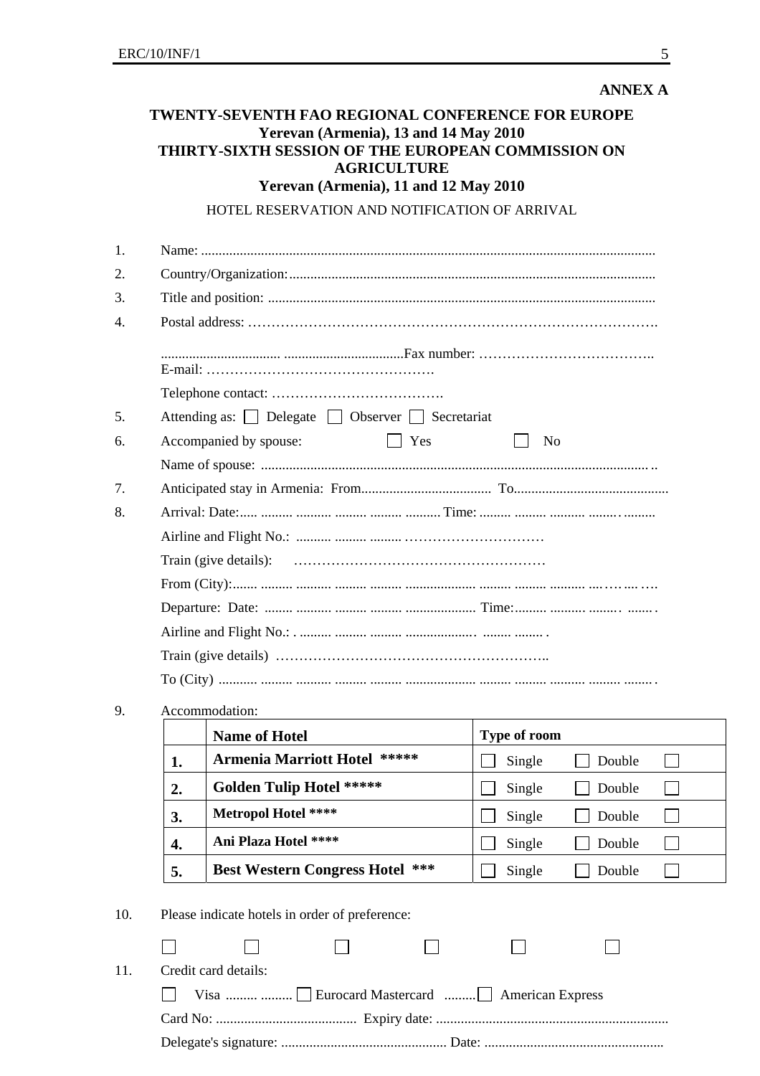| Yerevan (Armenia), 11 and 12 May 2010<br>HOTEL RESERVATION AND NOTIFICATION OF ARRIVAL<br>Attending as: Delegate Dobserver D Secretariat<br>Accompanied by spouse:<br>$\vert \vert$ Yes<br>N <sub>0</sub><br>Accommodation:<br>Type of room<br><b>Name of Hotel</b><br><b>Armenia Marriott Hotel *****</b><br>Single<br>1.<br><b>Golden Tulip Hotel *****</b><br>Single<br>2.<br>Metropol Hotel ****<br>Single<br>3. |  |  |        |
|----------------------------------------------------------------------------------------------------------------------------------------------------------------------------------------------------------------------------------------------------------------------------------------------------------------------------------------------------------------------------------------------------------------------|--|--|--------|
|                                                                                                                                                                                                                                                                                                                                                                                                                      |  |  |        |
|                                                                                                                                                                                                                                                                                                                                                                                                                      |  |  |        |
|                                                                                                                                                                                                                                                                                                                                                                                                                      |  |  |        |
|                                                                                                                                                                                                                                                                                                                                                                                                                      |  |  |        |
|                                                                                                                                                                                                                                                                                                                                                                                                                      |  |  |        |
|                                                                                                                                                                                                                                                                                                                                                                                                                      |  |  |        |
|                                                                                                                                                                                                                                                                                                                                                                                                                      |  |  |        |
|                                                                                                                                                                                                                                                                                                                                                                                                                      |  |  |        |
|                                                                                                                                                                                                                                                                                                                                                                                                                      |  |  |        |
|                                                                                                                                                                                                                                                                                                                                                                                                                      |  |  |        |
|                                                                                                                                                                                                                                                                                                                                                                                                                      |  |  |        |
|                                                                                                                                                                                                                                                                                                                                                                                                                      |  |  |        |
|                                                                                                                                                                                                                                                                                                                                                                                                                      |  |  |        |
|                                                                                                                                                                                                                                                                                                                                                                                                                      |  |  |        |
|                                                                                                                                                                                                                                                                                                                                                                                                                      |  |  |        |
|                                                                                                                                                                                                                                                                                                                                                                                                                      |  |  |        |
|                                                                                                                                                                                                                                                                                                                                                                                                                      |  |  |        |
|                                                                                                                                                                                                                                                                                                                                                                                                                      |  |  |        |
|                                                                                                                                                                                                                                                                                                                                                                                                                      |  |  |        |
|                                                                                                                                                                                                                                                                                                                                                                                                                      |  |  |        |
|                                                                                                                                                                                                                                                                                                                                                                                                                      |  |  |        |
|                                                                                                                                                                                                                                                                                                                                                                                                                      |  |  | Double |
|                                                                                                                                                                                                                                                                                                                                                                                                                      |  |  | Double |
|                                                                                                                                                                                                                                                                                                                                                                                                                      |  |  | Double |
| Ani Plaza Hotel ****<br>Single<br>4.                                                                                                                                                                                                                                                                                                                                                                                 |  |  | Double |
| <b>Best Western Congress Hotel</b><br>***<br>Single<br>5.                                                                                                                                                                                                                                                                                                                                                            |  |  | Double |
| Please indicate hotels in order of preference:                                                                                                                                                                                                                                                                                                                                                                       |  |  |        |
|                                                                                                                                                                                                                                                                                                                                                                                                                      |  |  |        |

 Card No: ........................................ Expiry date: .................................................................. Delegate's signature: ............................................... Date: ...................................................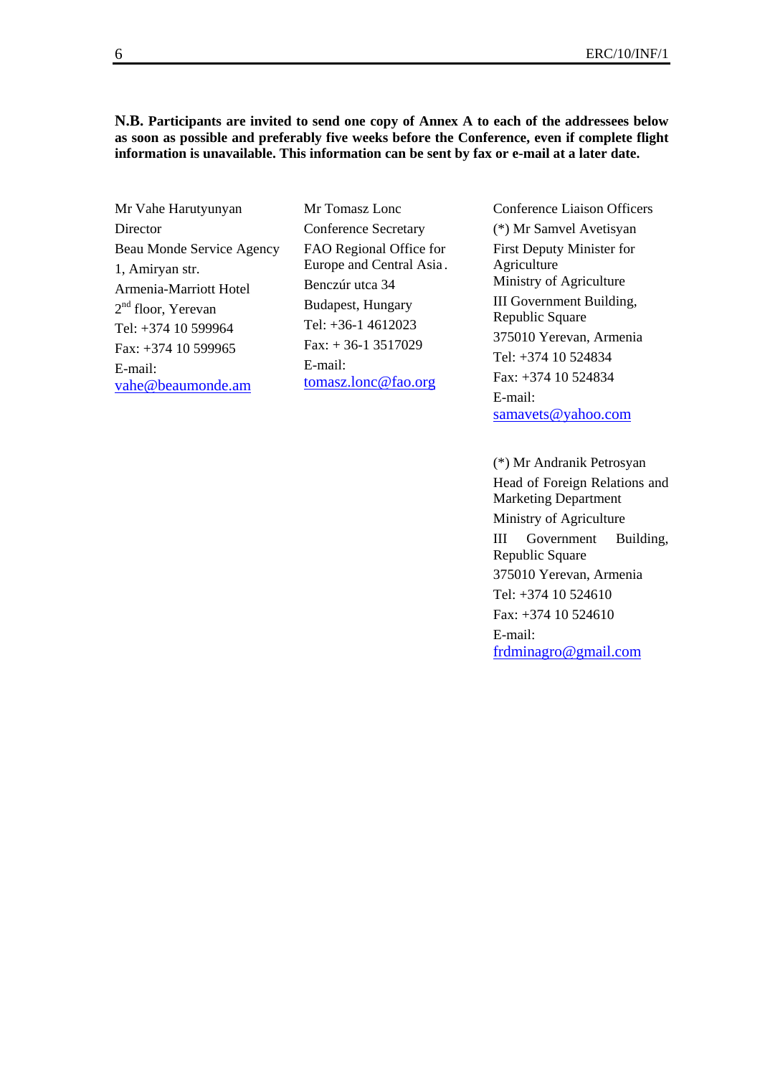#### **N.B. Participants are invited to send one copy of Annex A to each of the addressees below as soon as possible and preferably five weeks before the Conference, even if complete flight information is unavailable. This information can be sent by fax or e-mail at a later date.**

Mr Vahe Harutyunyan Director Beau Monde Service Agency 1, Amiryan str. Armenia-Marriott Hotel 2<sup>nd</sup> floor, Yerevan Tel: +374 10 599964 Fax: +374 10 599965 E-mail: vahe@beaumonde.am

Mr Tomasz Lonc Conference Secretary FAO Regional Office for Europe and Central Asia . Benczúr utca 34 Budapest, Hungary Tel: +36-1 4612023  $Fax + 36-13517029$ E-mail: tomasz.lonc@fao.org

Conference Liaison Officers (\*) Mr Samvel Avetisyan First Deputy Minister for Agriculture Ministry of Agriculture III Government Building, Republic Square 375010 Yerevan, Armenia Tel: +374 10 524834 Fax: +374 10 524834 E-mail: samavets@yahoo.com

(\*) Mr Andranik Petrosyan Head of Foreign Relations and Marketing Department Ministry of Agriculture III Government Building, Republic Square 375010 Yerevan, Armenia Tel: +374 10 524610 Fax: +374 10 524610 E-mail: frdminagro@gmail.com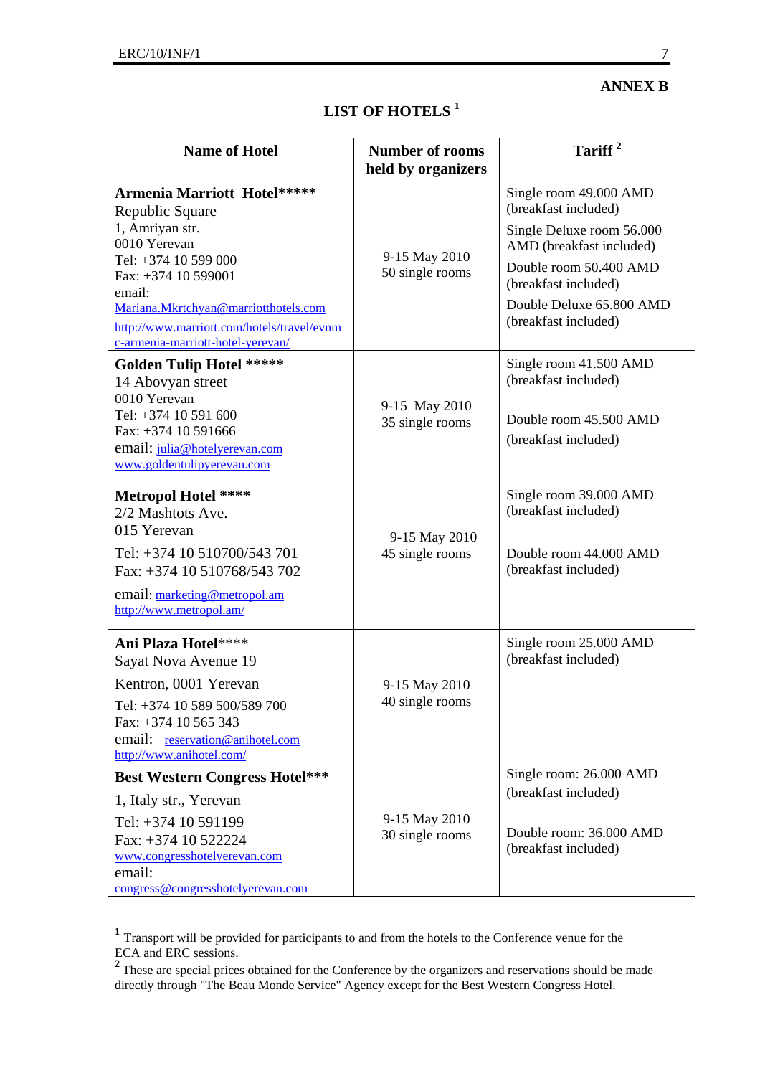| <b>Name of Hotel</b>                | <b>Number of rooms</b><br>held by organizers | Tariff <sup>2</sup>                                                                            |
|-------------------------------------|----------------------------------------------|------------------------------------------------------------------------------------------------|
| <b>Marriott Hotel*****</b><br>quare |                                              | Single room 49.000 AN<br>(breakfast included)                                                  |
| str.<br>an<br>0 599 000<br>0 599001 | 9-15 May 2010<br>50 single rooms             | Single Deluxe room 56<br>AMD (breakfast includ<br>Double room 50.400 A<br>(breakfast included) |

# **LIST OF HOTELS 1**

|                                                                                                                                              | neru by organizers               |                                                       |
|----------------------------------------------------------------------------------------------------------------------------------------------|----------------------------------|-------------------------------------------------------|
| <b>Armenia Marriott Hotel*****</b><br>Republic Square                                                                                        |                                  | Single room 49.000 AMD<br>(breakfast included)        |
| 1, Amriyan str.<br>0010 Yerevan                                                                                                              |                                  | Single Deluxe room 56.000<br>AMD (breakfast included) |
| Tel: +374 10 599 000<br>Fax: +374 10 599001                                                                                                  | 9-15 May 2010<br>50 single rooms | Double room 50.400 AMD<br>(breakfast included)        |
| email:<br>Mariana.Mkrtchyan@marriotthotels.com<br>http://www.marriott.com/hotels/travel/evnm<br>c-armenia-marriott-hotel-yerevan/            |                                  | Double Deluxe 65.800 AMD<br>(breakfast included)      |
| <b>Golden Tulip Hotel *****</b><br>14 Abovyan street<br>0010 Yerevan                                                                         |                                  | Single room 41.500 AMD<br>(breakfast included)        |
| Tel: +374 10 591 600<br>Fax: +374 10 591666<br>email: julia@hotelyerevan.com<br>www.goldentulipyerevan.com                                   | 9-15 May 2010<br>35 single rooms | Double room 45.500 AMD<br>(breakfast included)        |
| <b>Metropol Hotel ****</b><br>2/2 Mashtots Ave.<br>015 Yerevan                                                                               |                                  | Single room 39.000 AMD<br>(breakfast included)        |
| Tel: +374 10 510700/543 701<br>Fax: +374 10 510768/543 702                                                                                   | 9-15 May 2010<br>45 single rooms | Double room 44.000 AMD<br>(breakfast included)        |
| email: marketing@metropol.am<br>http://www.metropol.am/                                                                                      |                                  |                                                       |
| Ani Plaza Hotel****<br>Sayat Nova Avenue 19                                                                                                  |                                  | Single room 25.000 AMD<br>(breakfast included)        |
| Kentron, 0001 Yerevan<br>Tel: +374 10 589 500/589 700<br>Fax: +374 10 565 343<br>email: reservation@anihotel.com<br>http://www.anihotel.com/ | 9-15 May 2010<br>40 single rooms |                                                       |
| <b>Best Western Congress Hotel***</b>                                                                                                        |                                  | Single room: 26.000 AMD                               |
| 1, Italy str., Yerevan                                                                                                                       |                                  | (breakfast included)                                  |
| Tel: +374 10 591199<br>Fax: +374 10 522224<br>www.congresshotelyerevan.com<br>email:                                                         | 9-15 May 2010<br>30 single rooms | Double room: 36.000 AMD<br>(breakfast included)       |
| congress@congresshotelyerevan.com                                                                                                            |                                  |                                                       |

**<sup>1</sup>** Transport will be provided for participants to and from the hotels to the Conference venue for the ECA and ERC sessions.

<sup>2</sup>These are special prices obtained for the Conference by the organizers and reservations should be made directly through "The Beau Monde Service" Agency except for the Best Western Congress Hotel.